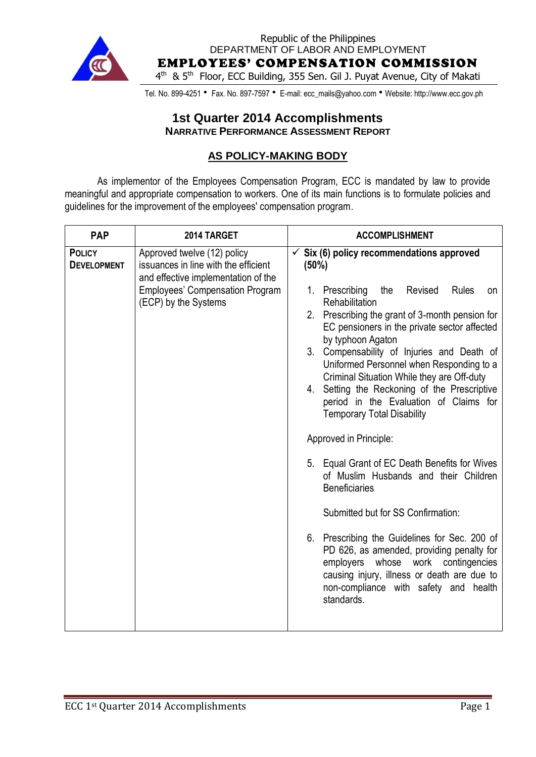

Republic of the Philippines DEPARTMENT OF LABOR AND EMPLOYMENT EMPLOYEES' COMPENSATION COMMISSION 4<sup>th</sup> & 5<sup>th</sup> Floor, ECC Building, 355 Sen. Gil J. Puyat Avenue, City of Makati

Tel. No. 899-4251 • Fax. No. 897-7597 • E-mail: ecc\_mails@yahoo.com • Website: http://www.ecc.gov.ph

### **1st Quarter 2014 Accomplishments NARRATIVE PERFORMANCE ASSESSMENT REPORT**

#### **AS POLICY-MAKING BODY**

As implementor of the Employees Compensation Program, ECC is mandated by law to provide meaningful and appropriate compensation to workers. One of its main functions is to formulate policies and guidelines for the improvement of the employees' compensation program.

| Six (6) policy recommendations approved<br>Approved twelve (12) policy<br>$\checkmark$<br>issuances in line with the efficient<br>(50%)<br>and effective implementation of the<br><b>Employees' Compensation Program</b><br>1. Prescribing<br>Revised<br>the<br><b>Rules</b><br>on<br>(ECP) by the Systems<br>Rehabilitation<br>2. Prescribing the grant of 3-month pension for<br>EC pensioners in the private sector affected<br>by typhoon Agaton<br>Compensability of Injuries and Death of<br>3 <sub>1</sub><br>Uniformed Personnel when Responding to a<br>Criminal Situation While they are Off-duty<br>4. Setting the Reckoning of the Prescriptive<br>period in the Evaluation of Claims for<br><b>Temporary Total Disability</b><br>Approved in Principle: | <b>PAP</b>                          | 2014 TARGET | <b>ACCOMPLISHMENT</b> |
|----------------------------------------------------------------------------------------------------------------------------------------------------------------------------------------------------------------------------------------------------------------------------------------------------------------------------------------------------------------------------------------------------------------------------------------------------------------------------------------------------------------------------------------------------------------------------------------------------------------------------------------------------------------------------------------------------------------------------------------------------------------------|-------------------------------------|-------------|-----------------------|
| 5. Equal Grant of EC Death Benefits for Wives<br>of Muslim Husbands and their Children<br><b>Beneficiaries</b><br>Submitted but for SS Confirmation:<br>6. Prescribing the Guidelines for Sec. 200 of<br>PD 626, as amended, providing penalty for<br>employers<br>whose<br>work contingencies<br>causing injury, illness or death are due to<br>non-compliance with safety and health<br>standards.                                                                                                                                                                                                                                                                                                                                                                 | <b>POLICY</b><br><b>DEVELOPMENT</b> |             |                       |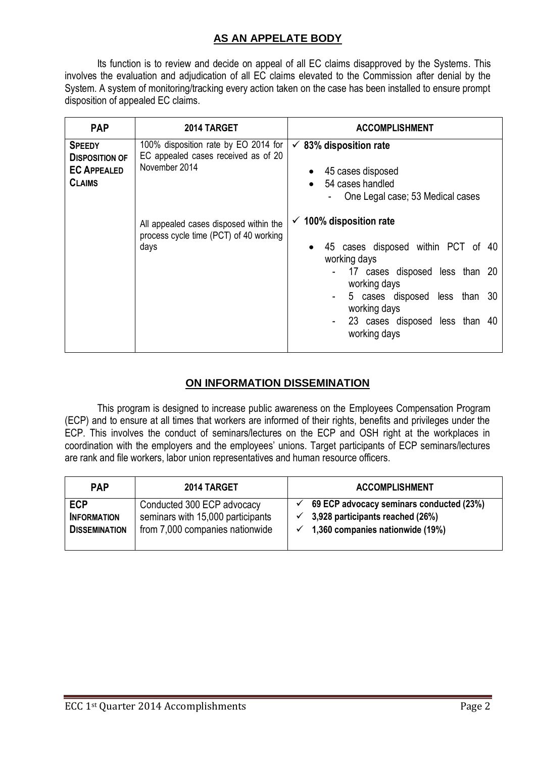# **AS AN APPELATE BODY**

Its function is to review and decide on appeal of all EC claims disapproved by the Systems. This involves the evaluation and adjudication of all EC claims elevated to the Commission after denial by the System. A system of monitoring/tracking every action taken on the case has been installed to ensure prompt disposition of appealed EC claims.

| <b>PAP</b>                                                                    | 2014 TARGET                                                                                  | <b>ACCOMPLISHMENT</b>                                                                                          |
|-------------------------------------------------------------------------------|----------------------------------------------------------------------------------------------|----------------------------------------------------------------------------------------------------------------|
| <b>SPEEDY</b><br><b>DISPOSITION OF</b><br><b>EC APPEALED</b><br><b>CLAIMS</b> | 100% disposition rate by EO 2014 for<br>EC appealed cases received as of 20<br>November 2014 | $\checkmark$ 83% disposition rate<br>45 cases disposed<br>54 cases handled<br>One Legal case; 53 Medical cases |
|                                                                               | All appealed cases disposed within the<br>process cycle time (PCT) of 40 working<br>days     | $\checkmark$ 100% disposition rate<br>45 cases disposed within PCT of 40<br>working days                       |
|                                                                               |                                                                                              | - 17 cases disposed less than 20<br>working days                                                               |
|                                                                               |                                                                                              | 5 cases disposed less than 30<br>working days                                                                  |
|                                                                               |                                                                                              | 23 cases disposed less than 40<br>working days                                                                 |

# **ON INFORMATION DISSEMINATION**

This program is designed to increase public awareness on the Employees Compensation Program (ECP) and to ensure at all times that workers are informed of their rights, benefits and privileges under the ECP. This involves the conduct of seminars/lectures on the ECP and OSH right at the workplaces in coordination with the employers and the employees' unions. Target participants of ECP seminars/lectures are rank and file workers, labor union representatives and human resource officers.

| <b>PAP</b>           | 2014 TARGET                       | <b>ACCOMPLISHMENT</b>                    |
|----------------------|-----------------------------------|------------------------------------------|
| <b>ECP</b>           | Conducted 300 ECP advocacy        | 69 ECP advocacy seminars conducted (23%) |
| <b>INFORMATION</b>   | seminars with 15,000 participants | 3,928 participants reached (26%)         |
| <b>DISSEMINATION</b> | from 7,000 companies nationwide   | 1,360 companies nationwide (19%)         |